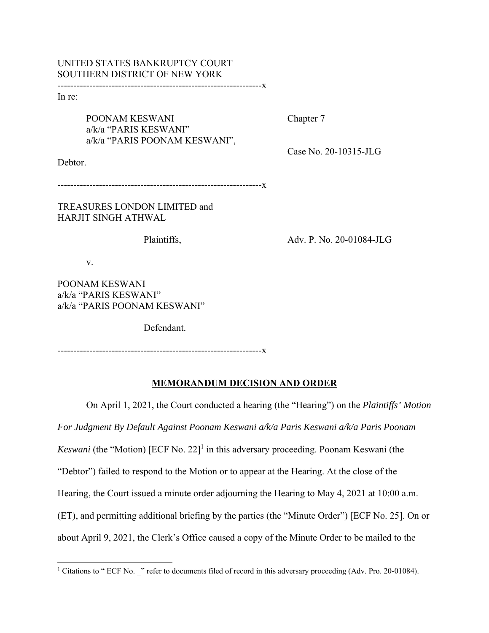## UNITED STATES BANKRUPTCY COURT SOUTHERN DISTRICT OF NEW YORK

----------------------------------------------------------------x

In re:

POONAM KESWANI Chapter 7 a/k/a "PARIS KESWANI" a/k/a "PARIS POONAM KESWANI",

Case No. 20-10315-JLG

Debtor.

----------------------------------------------------------------x

TREASURES LONDON LIMITED and HARJIT SINGH ATHWAL

Plaintiffs, Adv. P. No. 20-01084-JLG

v.

POONAM KESWANI a/k/a "PARIS KESWANI" a/k/a "PARIS POONAM KESWANI"

Defendant.

----------------------------------------------------------------x

## **MEMORANDUM DECISION AND ORDER**

On April 1, 2021, the Court conducted a hearing (the "Hearing") on the *Plaintiffs' Motion For Judgment By Default Against Poonam Keswani a/k/a Paris Keswani a/k/a Paris Poonam*  Keswani (the "Motion) [ECF No. 22]<sup>1</sup> in this adversary proceeding. Poonam Keswani (the "Debtor") failed to respond to the Motion or to appear at the Hearing. At the close of the Hearing, the Court issued a minute order adjourning the Hearing to May 4, 2021 at 10:00 a.m. (ET), and permitting additional briefing by the parties (the "Minute Order") [ECF No. 25]. On or about April 9, 2021, the Clerk's Office caused a copy of the Minute Order to be mailed to the

<sup>&</sup>lt;sup>1</sup> Citations to " ECF No. \_" refer to documents filed of record in this adversary proceeding (Adv. Pro. 20-01084).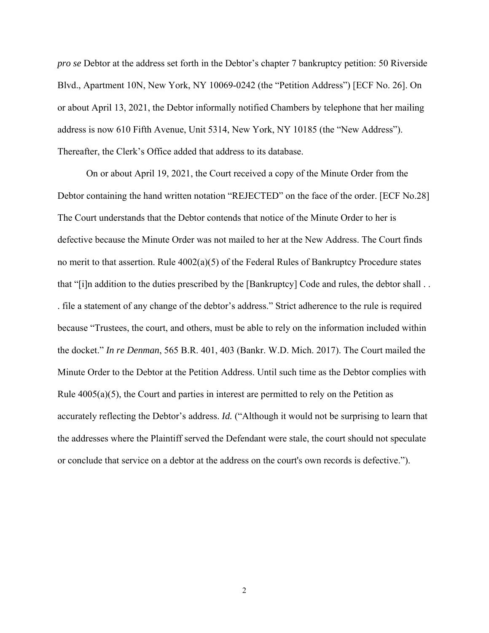*pro se* Debtor at the address set forth in the Debtor's chapter 7 bankruptcy petition: 50 Riverside Blvd., Apartment 10N, New York, NY 10069-0242 (the "Petition Address") [ECF No. 26]. On or about April 13, 2021, the Debtor informally notified Chambers by telephone that her mailing address is now 610 Fifth Avenue, Unit 5314, New York, NY 10185 (the "New Address"). Thereafter, the Clerk's Office added that address to its database.

On or about April 19, 2021, the Court received a copy of the Minute Order from the Debtor containing the hand written notation "REJECTED" on the face of the order. [ECF No.28] The Court understands that the Debtor contends that notice of the Minute Order to her is defective because the Minute Order was not mailed to her at the New Address. The Court finds no merit to that assertion. Rule  $4002(a)(5)$  of the Federal Rules of Bankruptcy Procedure states that "[i]n addition to the duties prescribed by the [Bankruptcy] Code and rules, the debtor shall . . . file a statement of any change of the debtor's address." Strict adherence to the rule is required because "Trustees, the court, and others, must be able to rely on the information included within the docket." *In re Denman*, 565 B.R. 401, 403 (Bankr. W.D. Mich. 2017). The Court mailed the Minute Order to the Debtor at the Petition Address. Until such time as the Debtor complies with Rule  $4005(a)(5)$ , the Court and parties in interest are permitted to rely on the Petition as accurately reflecting the Debtor's address. *Id.* ("Although it would not be surprising to learn that the addresses where the Plaintiff served the Defendant were stale, the court should not speculate or conclude that service on a debtor at the address on the court's own records is defective.").